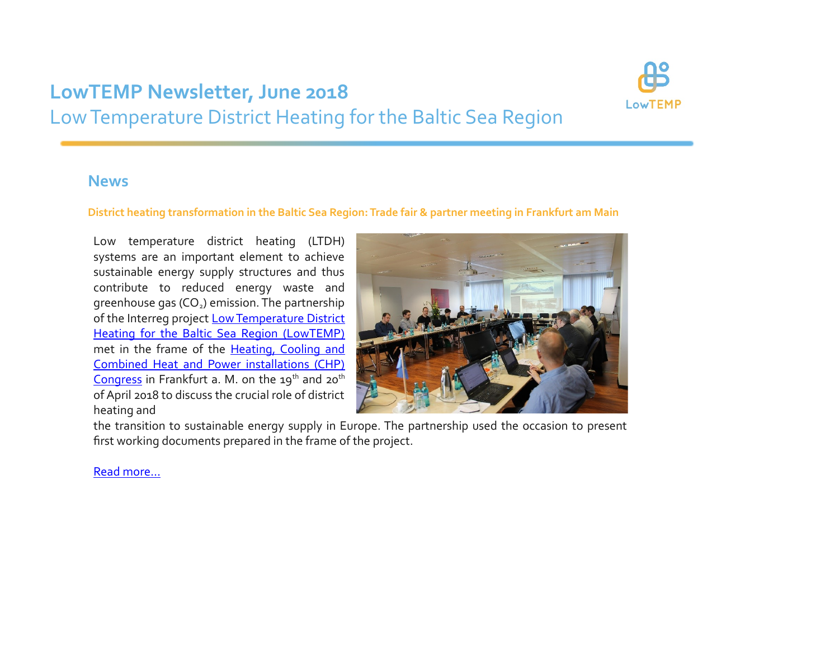# **LowTEMP Newsletter, June 2018** Low Temperature District Heating for the Baltic Sea Region



### **News**

#### **District heating transformation in the Baltic Sea Region: Trade fair & partner meeting in Frankfurt am Main**

Low temperature district heating (LTDH) systems are an important element to achieve sustainable energy supply structures and thus contribute to reduced energy waste and greenhouse gas  $(CO<sub>2</sub>)$  emission. The partnership of the Interreg project [Low Temperature District](http://www.lowtemp.eu/) [Heating for the Baltic Sea Region \(LowTEMP\)](http://www.lowtemp.eu/) met in the frame of the [Heating, Cooling and](https://www.eneff-messe.de/en/programme/cities-congress/) [Combined Heat and Power installations \(CHP\)](https://www.eneff-messe.de/en/programme/cities-congress/) [Congress](https://www.eneff-messe.de/en/programme/cities-congress/) in Frankfurt a. M. on the  $19^{th}$  and  $20^{th}$ of April 2018 to discuss the crucial role of district heating and



the transition to sustainable energy supply in Europe. The partnership used the occasion to present first working documents prepared in the frame of the project.

### [Read more…](http://www.lowtemp.eu/uncategorized/district-heating-transformation-in-the-baltic-sea-region/)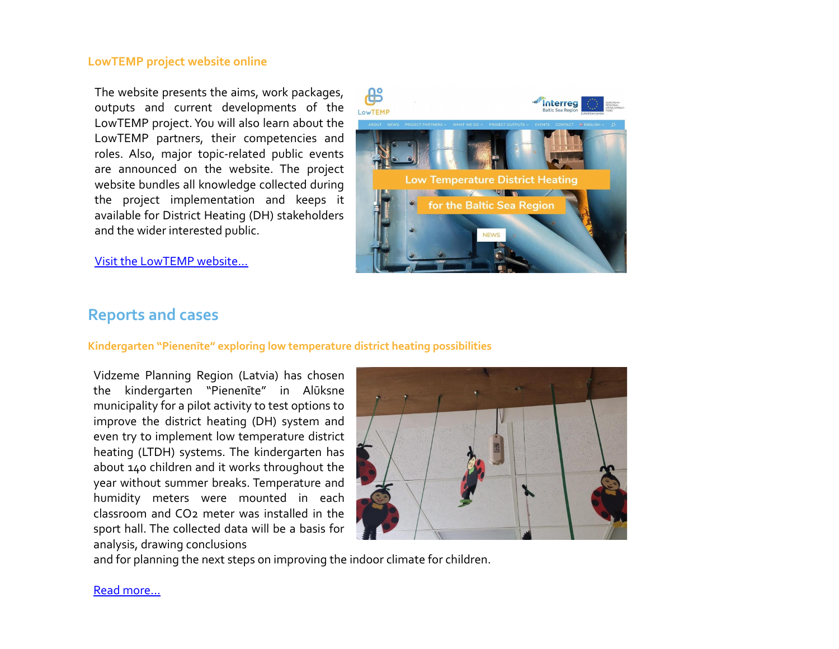#### **LowTEMP project website online**

The website presents the aims, work packages, outputs and current developments of the LowTEMP project. You will also learn about the LowTEMP partners, their competencies and roles. Also, major topic-related public events are announced on the website. The project website bundles all knowledge collected during the project implementation and keeps it available for District Heating (DH) stakeholders and the wider interested public.





### **Reports and cases**

#### **Kindergarten "Pienenīte" exploring low temperature district heating possibilities**

Vidzeme Planning Region (Latvia) has chosen the kindergarten "Pienenīte" in Alūksne municipality for a pilot activity to test options to improve the district heating (DH) system and even try to implement low temperature district heating (LTDH) systems. The kindergarten has about 140 children and it works throughout the year without summer breaks. Temperature and humidity meters were mounted in each classroom and CO2 meter was installed in the sport hall. The collected data will be a basis for analysis, drawing conclusions



and for planning the next steps on improving the indoor climate for children.

[Read more...](http://www.lowtemp.eu/examples/kindergarten-pienenite-exploring-low-temperature-district-heating-possibilities/)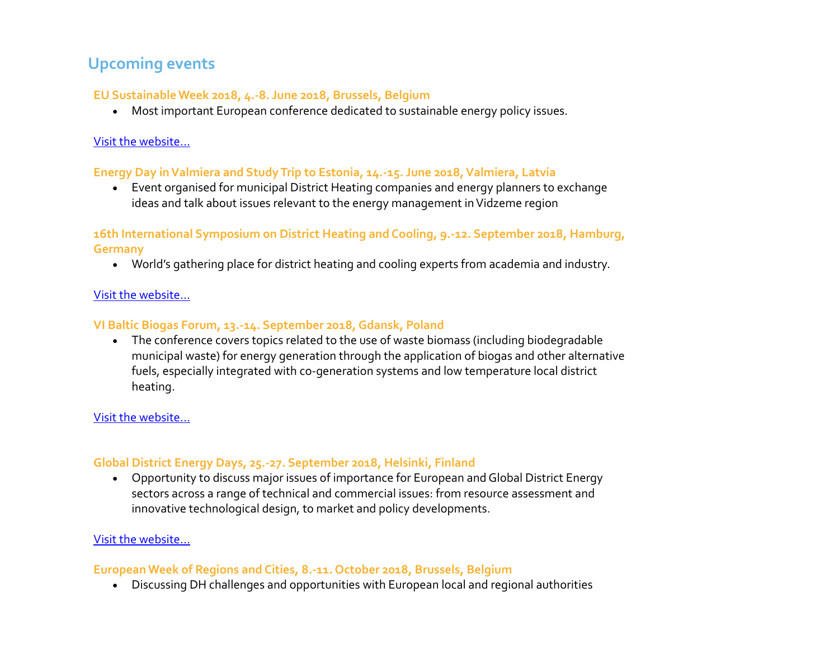# **Upcoming events**

### **EU Sustainable Week 2018, 4.-8. June 2018, Brussels, Belgium**

Most important European conference dedicated to sustainable energy policy issues.

### [Visit the website…](https://www.eusew.eu/)

#### **Energy Day in Valmiera and Study Trip to Estonia, 14.-15. June 2018, Valmiera, Latvia**

 Event organised for municipal District Heating companies and energy planners to exchange ideas and talk about issues relevant to the energy management in Vidzeme region

### **16th International Symposium on District Heating and Cooling, 9.-12. September 2018, Hamburg, Germany**

World's gathering place for district heating and cooling experts from academia and industry.

### [Visit the website…](https://www.dhc2018.eu/)

### **VI Baltic Biogas Forum, 13.-14. September 2018, Gdansk, Poland**

 The conference covers topics related to the use of waste biomass (including biodegradable municipal waste) for energy generation through the application of biogas and other alternative fuels, especially integrated with co-generation systems and low temperature local district heating.

### [Visit the website…](https://www.imp.gda.pl/bf2018/)

### **Global District Energy Days, 25.-27. September 2018, Helsinki, Finland**

 Opportunity to discuss major issues of importance for European and Global District Energy sectors across a range of technical and commercial issues: from resource assessment and innovative technological design, to market and policy developments.

### [Visit the website…](http://www.2018dedays.org/#active)

### **European Week of Regions and Cities, 8.-11. October 2018, Brussels, Belgium**

Discussing DH challenges and opportunities with European local and regional authorities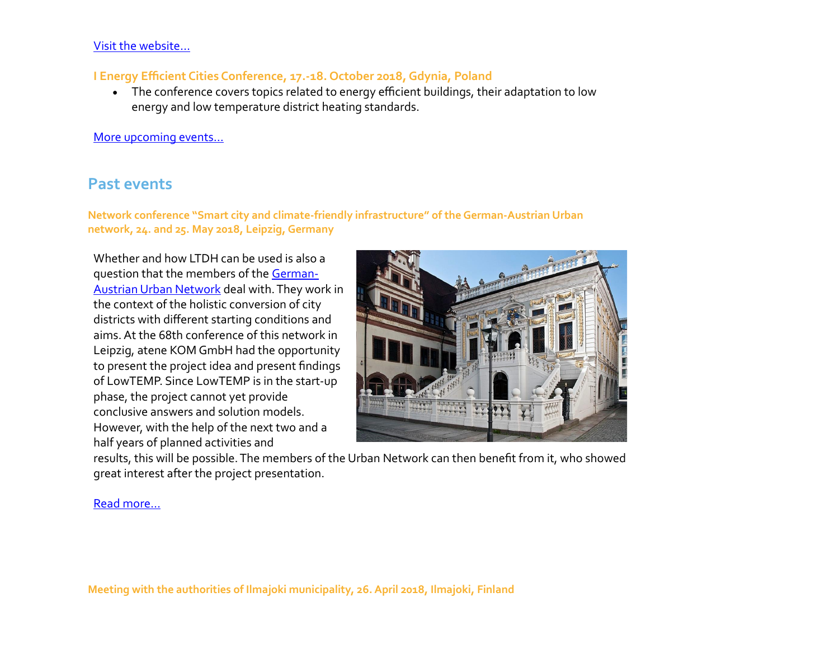#### [Visit the website…](http://ec.europa.eu/regional_policy/regions-and-cities/#!/home)

#### **I Energy Efficient Cities Conference, 17.-18. October 2018, Gdynia, Poland**

 The conference covers topics related to energy efficient buildings, their adaptation to low energy and low temperature district heating standards.

#### [More upcoming events…](http://www.lowtemp.eu/events/)

## **Past events**

**Network conference "Smart city and climate-friendly infrastructure" of the German-Austrian Urban network, 24. and 25. May 2018, Leipzig, Germany**

Whether and how LTDH can be used is also a question that the members of the [German-](http://www.deutscher-verband.org/aktivitaeten/netzwerke/urban-netzwerk.html)[Austrian Urban Network](http://www.deutscher-verband.org/aktivitaeten/netzwerke/urban-netzwerk.html) deal with. They work in the context of the holistic conversion of city districts with different starting conditions and aims. At the 68th conference of this network in Leipzig, atene KOM GmbH had the opportunity to present the project idea and present findings of LowTEMP. Since LowTEMP is in the start-up phase, the project cannot yet provide conclusive answers and solution models. However, with the help of the next two and a half years of planned activities and



[results, this will be possible. The members of the Urban Network can then benefit from it, who showed](http://www.lowtemp.eu/uncategorized/lowtemp-at-the-annual-conference-of-the-german-austrian-urban-network-in-leipzig-germany/) [great interest after the project presentation.](http://www.lowtemp.eu/uncategorized/lowtemp-at-the-annual-conference-of-the-german-austrian-urban-network-in-leipzig-germany/)

#### Read more...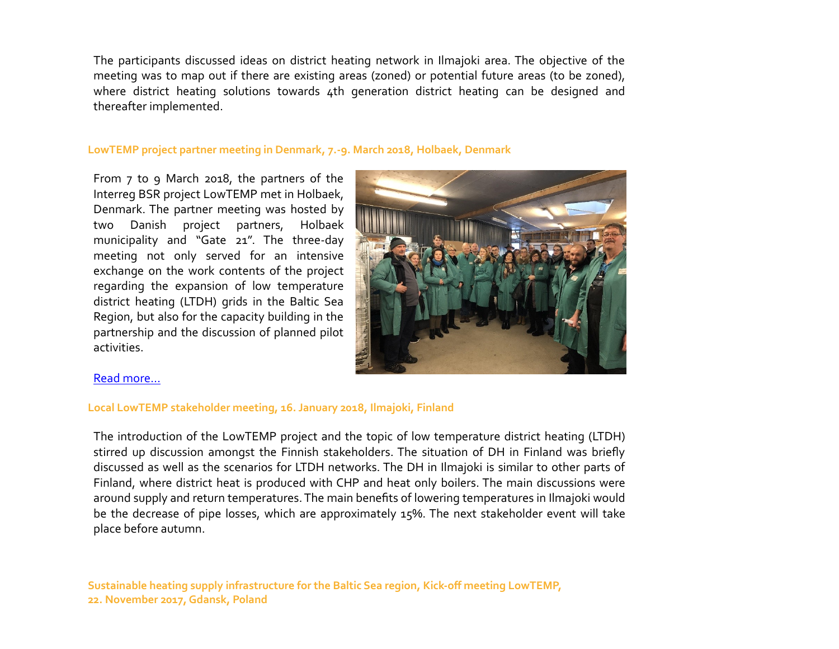The participants discussed ideas on district heating network in Ilmajoki area. The objective of the meeting was to map out if there are existing areas (zoned) or potential future areas (to be zoned), where district heating solutions towards 4th generation district heating can be designed and thereafter implemented.

#### **LowTEMP project partner meeting in Denmark, 7.-9. March 2018, Holbaek, Denmark**

From 7 to 9 March 2018, the partners of the Interreg BSR project LowTEMP met in Holbaek, Denmark. The partner meeting was hosted by two Danish project partners, Holbaek municipality and "Gate 21". The three-day meeting not only served for an intensive exchange on the work contents of the project regarding the expansion of low temperature district heating (LTDH) grids in the Baltic Sea Region, but also for the capacity building in the partnership and the discussion of planned pilot activities.



#### [Read more…](http://www.lowtemp.eu/uncategorized/partner-meeting-denmark/)

#### **Local LowTEMP stakeholder meeting, 16. January 2018, Ilmajoki, Finland**

The introduction of the LowTEMP project and the topic of low temperature district heating (LTDH) stirred up discussion amongst the Finnish stakeholders. The situation of DH in Finland was briefly discussed as well as the scenarios for LTDH networks. The DH in Ilmajoki is similar to other parts of Finland, where district heat is produced with CHP and heat only boilers. The main discussions were around supply and return temperatures. The main benefits of lowering temperatures in Ilmajoki would be the decrease of pipe losses, which are approximately 15%. The next stakeholder event will take place before autumn.